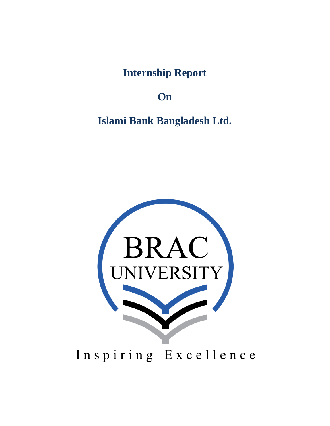**Internship Report** 

**On** 

**Islami Bank Bangladesh Ltd.**

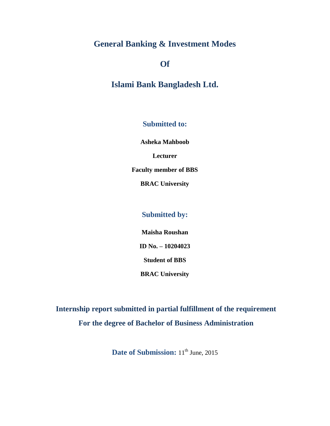## **General Banking & Investment Modes**

## **Of**

**Islami Bank Bangladesh Ltd.**

**Submitted to:**

**Asheka Mahboob**

**Lecturer**

**Faculty member of BBS**

**BRAC University**

## **Submitted by:**

**Maisha Roushan**

**ID No. – 10204023**

**Student of BBS**

**BRAC University**

**Internship report submitted in partial fulfillment of the requirement For the degree of Bachelor of Business Administration**

**Date of Submission:**  $11^{th}$  June, 2015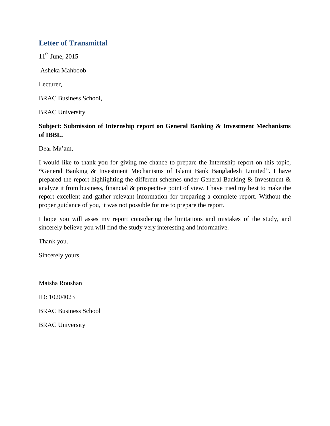## **Letter of Transmittal**

 $11^{th}$  June, 2015

Asheka Mahboob

Lecturer,

BRAC Business School,

BRAC University

## **Subject: Submission of Internship report on General Banking & Investment Mechanisms of IBBL.**

Dear Ma'am,

I would like to thank you for giving me chance to prepare the Internship report on this topic, **"**General Banking & Investment Mechanisms of Islami Bank Bangladesh Limited". I have prepared the report highlighting the different schemes under General Banking & Investment & analyze it from business, financial & prospective point of view. I have tried my best to make the report excellent and gather relevant information for preparing a complete report. Without the proper guidance of you, it was not possible for me to prepare the report.

I hope you will asses my report considering the limitations and mistakes of the study, and sincerely believe you will find the study very interesting and informative.

Thank you.

Sincerely yours,

Maisha Roushan

ID: 10204023

BRAC Business School

BRAC University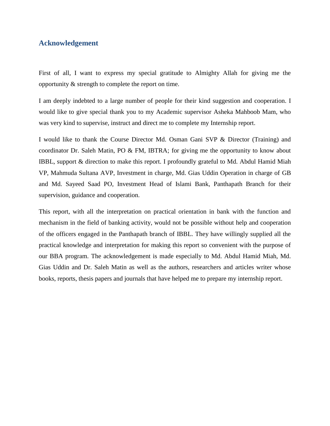### **Acknowledgement**

First of all, I want to express my special gratitude to Almighty Allah for giving me the opportunity & strength to complete the report on time.

I am deeply indebted to a large number of people for their kind suggestion and cooperation. I would like to give special thank you to my Academic supervisor Asheka Mahboob Mam, who was very kind to supervise, instruct and direct me to complete my Internship report.

I would like to thank the Course Director Md. Osman Gani SVP & Director (Training) and coordinator Dr. Saleh Matin, PO & FM, IBTRA; for giving me the opportunity to know about IBBL, support & direction to make this report. I profoundly grateful to Md. Abdul Hamid Miah VP, Mahmuda Sultana AVP, Investment in charge, Md. Gias Uddin Operation in charge of GB and Md. Sayeed Saad PO, Investment Head of Islami Bank, Panthapath Branch for their supervision, guidance and cooperation.

This report, with all the interpretation on practical orientation in bank with the function and mechanism in the field of banking activity, would not be possible without help and cooperation of the officers engaged in the Panthapath branch of IBBL. They have willingly supplied all the practical knowledge and interpretation for making this report so convenient with the purpose of our BBA program. The acknowledgement is made especially to Md. Abdul Hamid Miah, Md. Gias Uddin and Dr. Saleh Matin as well as the authors, researchers and articles writer whose books, reports, thesis papers and journals that have helped me to prepare my internship report.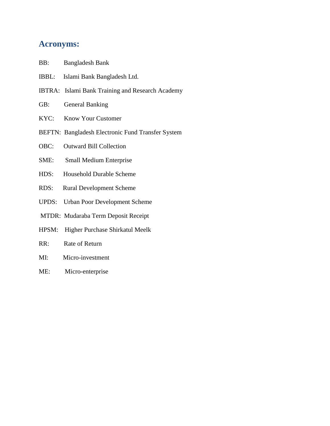## **Acronyms:**

- BB: Bangladesh Bank
- IBBL: Islami Bank Bangladesh Ltd.
- IBTRA: Islami Bank Training and Research Academy
- GB: General Banking
- KYC: Know Your Customer
- BEFTN: Bangladesh Electronic Fund Transfer System
- OBC: Outward Bill Collection
- SME: Small Medium Enterprise
- HDS: Household Durable Scheme
- RDS: Rural Development Scheme
- UPDS: Urban Poor Development Scheme
- MTDR: Mudaraba Term Deposit Receipt
- HPSM: Higher Purchase Shirkatul Meelk
- RR: Rate of Return
- MI: Micro-investment
- ME: Micro-enterprise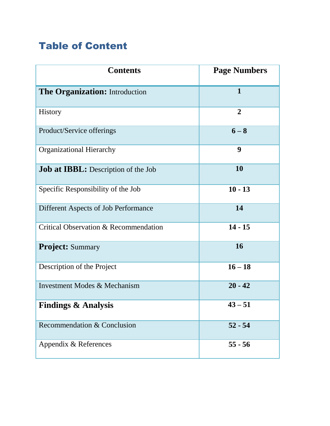# Table of Content

| <b>Contents</b>                            | <b>Page Numbers</b> |  |
|--------------------------------------------|---------------------|--|
| The Organization: Introduction             | $\mathbf{1}$        |  |
| <b>History</b>                             | $\boldsymbol{2}$    |  |
| Product/Service offerings                  | $6 - 8$             |  |
| <b>Organizational Hierarchy</b>            | 9                   |  |
| <b>Job at IBBL:</b> Description of the Job | 10                  |  |
| Specific Responsibility of the Job         | $10 - 13$           |  |
| Different Aspects of Job Performance       | 14                  |  |
| Critical Observation & Recommendation      | $14 - 15$           |  |
| <b>Project:</b> Summary                    | 16                  |  |
| Description of the Project                 | $16 - 18$           |  |
| Investment Modes & Mechanism               | $20 - 42$           |  |
| <b>Findings &amp; Analysis</b>             | $43 - 51$           |  |
| Recommendation & Conclusion                | $52 - 54$           |  |
| Appendix & References                      | $55 - 56$           |  |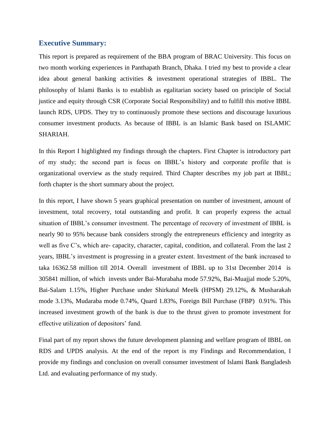### **Executive Summary:**

This report is prepared as requirement of the BBA program of BRAC University. This focus on two month working experiences in Panthapath Branch, Dhaka. I tried my best to provide a clear idea about general banking activities & investment operational strategies of IBBL. The philosophy of Islami Banks is to establish as egalitarian society based on principle of Social justice and equity through CSR (Corporate Social Responsibility) and to fulfill this motive IBBL launch RDS, UPDS. They try to continuously promote these sections and discourage luxurious consumer investment products. As because of IBBL is an Islamic Bank based on ISLAMIC SHARIAH.

In this Report I highlighted my findings through the chapters. First Chapter is introductory part of my study; the second part is focus on IBBL"s history and corporate profile that is organizational overview as the study required. Third Chapter describes my job part at IBBL; forth chapter is the short summary about the project.

In this report, I have shown 5 years graphical presentation on number of investment, amount of investment, total recovery, total outstanding and profit. It can properly express the actual situation of IBBL's consumer investment. The percentage of recovery of investment of IBBL is nearly 90 to 95% because bank considers strongly the entrepreneurs efficiency and integrity as well as five C's, which are- capacity, character, capital, condition, and collateral. From the last 2 years, IBBL's investment is progressing in a greater extent. Investment of the bank increased to taka 16362.58 million till 2014. Overall investment of IBBL up to 31st December 2014 is 305841 million, of which invests under Bai-Murabaha mode 57.92%, Bai-Muajjal mode 5.20%, Bai-Salam 1.15%, Higher Purchase under Shirkatul Meelk (HPSM) 29.12%, & Musharakah mode 3.13%, Mudaraba mode 0.74%, Quard 1.83%, Foreign Bill Purchase (FBP) 0.91%. This increased investment growth of the bank is due to the thrust given to promote investment for effective utilization of depositors' fund.

Final part of my report shows the future development planning and welfare program of IBBL on RDS and UPDS analysis. At the end of the report is my Findings and Recommendation, I provide my findings and conclusion on overall consumer investment of Islami Bank Bangladesh Ltd. and evaluating performance of my study.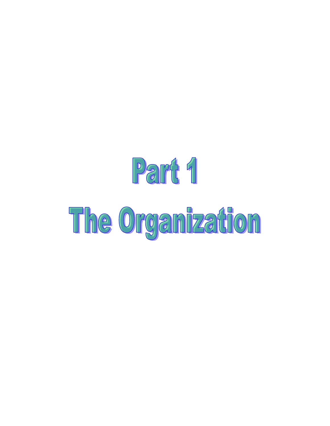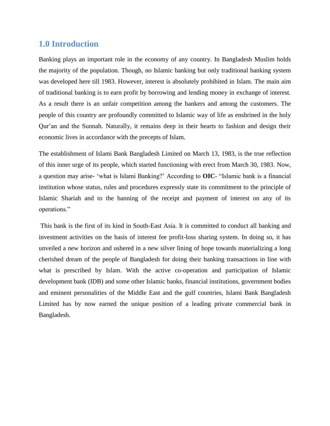## **1.0 Introduction**

Banking plays an important role in the economy of any country. In Bangladesh Muslim holds the majority of the population. Though, no Islamic banking but only traditional banking system was developed here till 1983. However, interest is absolutely prohibited in Islam. The main aim of traditional banking is to earn profit by borrowing and lending money in exchange of interest. As a result there is an unfair competition among the bankers and among the customers. The people of this country are profoundly committed to Islamic way of life as enshrined in the holy Qur"an and the Sunnah. Naturally, it remains deep in their hearts to fashion and design their economic lives in accordance with the precepts of Islam.

The establishment of Islami Bank Bangladesh Limited on March 13, 1983, is the true reflection of this inner urge of its people, which started functioning with erect from March 30, 1983. Now, a question may arise- "what is Islami Banking?" According to **OIC**- "Islamic bank is a financial institution whose status, rules and procedures expressly state its commitment to the principle of Islamic Shariah and to the banning of the receipt and payment of interest on any of its operations."

This bank is the first of its kind in South-East Asia. It is committed to conduct all banking and investment activities on the basis of interest fee profit-loss sharing system. In doing so, it has unveiled a new horizon and ushered in a new silver lining of hope towards materializing a long cherished dream of the people of Bangladesh for doing their banking transactions in line with what is prescribed by Islam. With the active co-operation and participation of Islamic development bank (IDB) and some other Islamic banks, financial institutions, government bodies and eminent personalities of the Middle East and the gulf countries, Islami Bank Bangladesh Limited has by now earned the unique position of a leading private commercial bank in Bangladesh.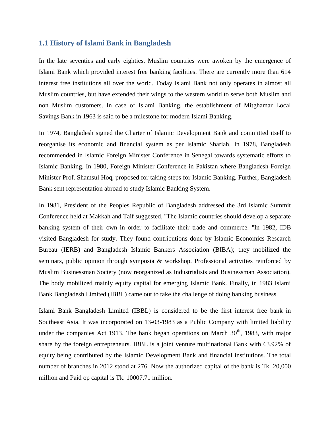#### **1.1 History of Islami Bank in Bangladesh**

In the late seventies and early eighties, Muslim countries were awoken by the emergence of Islami Bank which provided interest free banking facilities. There are currently more than 614 interest free institutions all over the world. Today Islami Bank not only operates in almost all Muslim countries, but have extended their wings to the western world to serve both Muslim and non Muslim customers. In case of Islami Banking, the establishment of Mitghamar Local Savings Bank in 1963 is said to be a milestone for modern Islami Banking.

In 1974, Bangladesh signed the Charter of Islamic Development Bank and committed itself to reorganise its economic and financial system as per Islamic Shariah. In 1978, Bangladesh recommended in Islamic Foreign Minister Conference in Senegal towards systematic efforts to Islamic Banking. In 1980, Foreign Minister Conference in Pakistan where Bangladesh Foreign Minister Prof. Shamsul Hoq, proposed for taking steps for Islamic Banking. Further, Bangladesh Bank sent representation abroad to study Islamic Banking System.

In 1981, President of the Peoples Republic of Bangladesh addressed the 3rd Islamic Summit Conference held at Makkah and Taif suggested, ''The Islamic countries should develop a separate banking system of their own in order to facilitate their trade and commerce. ''In 1982, IDB visited Bangladesh for study. They found contributions done by Islamic Economics Research Bureau (IERB) and Bangladesh Islamic Bankers Association (BIBA); they mobilized the seminars, public opinion through symposia & workshop. Professional activities reinforced by Muslim Businessman Society (now reorganized as Industrialists and Businessman Association). The body mobilized mainly equity capital for emerging Islamic Bank. Finally, in 1983 Islami Bank Bangladesh Limited (IBBL) came out to take the challenge of doing banking business.

Islami Bank Bangladesh Limited (IBBL) is considered to be the first interest free bank in Southeast Asia. It was incorporated on 13-03-1983 as a Public Company with limited liability under the companies Act 1913. The bank began operations on March  $30<sup>th</sup>$ , 1983, with major share by the foreign entrepreneurs. IBBL is a joint venture multinational Bank with 63.92% of equity being contributed by the Islamic Development Bank and financial institutions. The total number of branches in 2012 stood at 276. Now the authorized capital of the bank is Tk. 20,000 million and Paid op capital is Tk. 10007.71 million.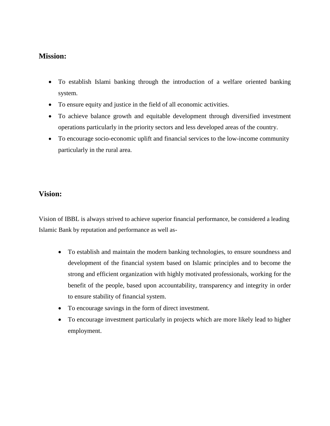## **Mission:**

- To establish Islami banking through the introduction of a welfare oriented banking system.
- To ensure equity and justice in the field of all economic activities.
- To achieve balance growth and equitable development through diversified investment operations particularly in the priority sectors and less developed areas of the country.
- To encourage socio-economic uplift and financial services to the low-income community particularly in the rural area.

### **Vision:**

Vision of IBBL is always strived to achieve superior financial performance, be considered a leading Islamic Bank by reputation and performance as well as-

- To establish and maintain the modern banking technologies, to ensure soundness and development of the financial system based on Islamic principles and to become the strong and efficient organization with highly motivated professionals, working for the benefit of the people, based upon accountability, transparency and integrity in order to ensure stability of financial system.
- To encourage savings in the form of direct investment.
- To encourage investment particularly in projects which are more likely lead to higher employment.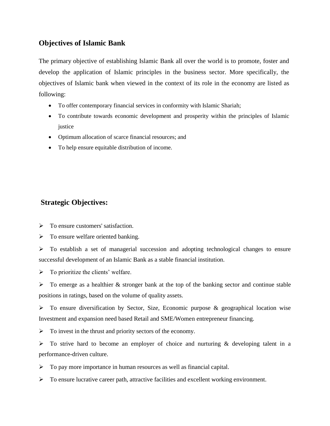## **Objectives of Islamic Bank**

The primary objective of establishing Islamic Bank all over the world is to promote, foster and develop the application of Islamic principles in the business sector. More specifically, the objectives of Islamic bank when viewed in the context of its role in the economy are listed as following:

- To offer contemporary financial services in conformity with Islamic Shariah;
- To contribute towards economic development and prosperity within the principles of Islamic justice
- Optimum allocation of scarce financial resources; and
- To help ensure equitable distribution of income.

## **Strategic Objectives:**

 $\triangleright$  To ensure customers' satisfaction.

 $\triangleright$  To ensure welfare oriented banking.

 $\triangleright$  To establish a set of managerial succession and adopting technological changes to ensure successful development of an Islamic Bank as a stable financial institution.

 $\triangleright$  To prioritize the clients' welfare.

 $\triangleright$  To emerge as a healthier & stronger bank at the top of the banking sector and continue stable positions in ratings, based on the volume of quality assets.

 $\triangleright$  To ensure diversification by Sector, Size, Economic purpose & geographical location wise Investment and expansion need based Retail and SME/Women entrepreneur financing.

 $\triangleright$  To invest in the thrust and priority sectors of the economy.

 $\triangleright$  To strive hard to become an employer of choice and nurturing & developing talent in a performance-driven culture.

 $\triangleright$  To pay more importance in human resources as well as financial capital.

 $\triangleright$  To ensure lucrative career path, attractive facilities and excellent working environment.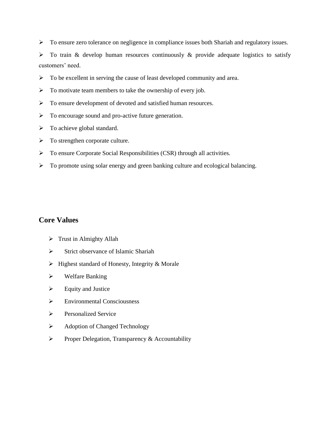> To ensure zero tolerance on negligence in compliance issues both Shariah and regulatory issues.

 $\triangleright$  To train & develop human resources continuously & provide adequate logistics to satisfy customers' need.

- $\triangleright$  To be excellent in serving the cause of least developed community and area.
- $\triangleright$  To motivate team members to take the ownership of every job.
- > To ensure development of devoted and satisfied human resources.
- $\triangleright$  To encourage sound and pro-active future generation.
- $\triangleright$  To achieve global standard.
- $\triangleright$  To strengthen corporate culture.
- To ensure Corporate Social Responsibilities (CSR) through all activities.
- $\triangleright$  To promote using solar energy and green banking culture and ecological balancing.

## **Core Values**

- $\triangleright$  Trust in Almighty Allah
- $\triangleright$  Strict observance of Islamic Shariah
- $\triangleright$  Highest standard of Honesty, Integrity & Morale
- $\triangleright$  Welfare Banking
- $\triangleright$  Equity and Justice
- $\triangleright$  Environmental Consciousness
- $\triangleright$  Personalized Service
- Adoption of Changed Technology
- $\triangleright$  Proper Delegation, Transparency & Accountability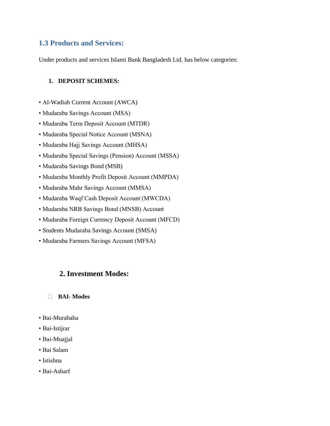## **1.3 Products and Services:**

Under products and services Islami Bank Bangladesh Ltd. has below categories:

#### **1. DEPOSIT SCHEMES:**

- Al-Wadiah Current Account (AWCA)
- Mudaraba Savings Account (MSA)
- Mudaraba Term Deposit Account (MTDR)
- Mudaraba Special Notice Account (MSNA)
- Mudaraba Hajj Savings Account (MHSA)
- Mudaraba Special Savings (Pension) Account (MSSA)
- Mudaraba Savings Bond (MSB)
- Mudaraba Monthly Profit Deposit Account (MMPDA)
- Mudaraba Mahr Savings Account (MMSA)
- Mudaraba Waqf Cash Deposit Account (MWCDA)
- Mudaraba NRB Savings Bond (MNSB) Account
- Mudaraba Foreign Currency Deposit Account (MFCD)
- Students Mudaraba Savings Account (SMSA)
- Mudaraba Farmers Savings Account (MFSA)

## **2. Investment Modes:**

#### **BAI- Modes**

- Bai-Murabaha
- Bai-Istijrar
- Bai-Muajjal
- Bai Salam
- Istishna
- Bai-Asharf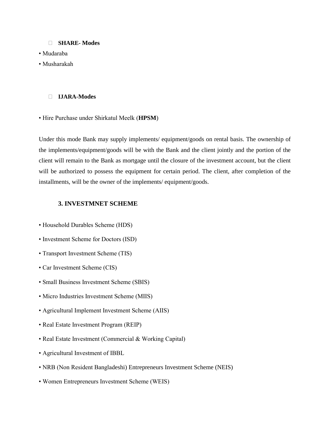#### **SHARE- Modes**

- Mudaraba
- Musharakah

#### **IJARA-Modes**

• Hire Purchase under Shirkatul Meelk (**HPSM**)

Under this mode Bank may supply implements/ equipment/goods on rental basis. The ownership of the implements/equipment/goods will be with the Bank and the client jointly and the portion of the client will remain to the Bank as mortgage until the closure of the investment account, but the client will be authorized to possess the equipment for certain period. The client, after completion of the installments, will be the owner of the implements/ equipment/goods.

#### **3. INVESTMNET SCHEME**

- Household Durables Scheme (HDS)
- Investment Scheme for Doctors (ISD)
- Transport Investment Scheme (TIS)
- Car Investment Scheme (CIS)
- Small Business Investment Scheme (SBIS)
- Micro Industries Investment Scheme (MIIS)
- Agricultural Implement Investment Scheme (AIIS)
- Real Estate Investment Program (REIP)
- Real Estate Investment (Commercial & Working Capital)
- Agricultural Investment of IBBL
- NRB (Non Resident Bangladeshi) Entrepreneurs Investment Scheme (NEIS)
- Women Entrepreneurs Investment Scheme (WEIS)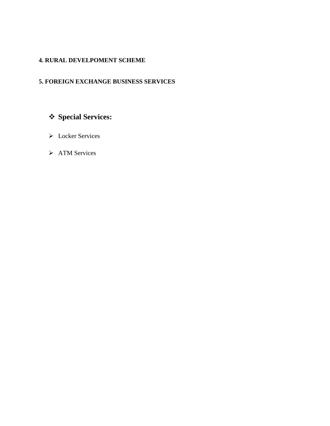## **4. RURAL DEVELPOMENT SCHEME**

## **5. FOREIGN EXCHANGE BUSINESS SERVICES**

# **Special Services:**

- > Locker Services
- > ATM Services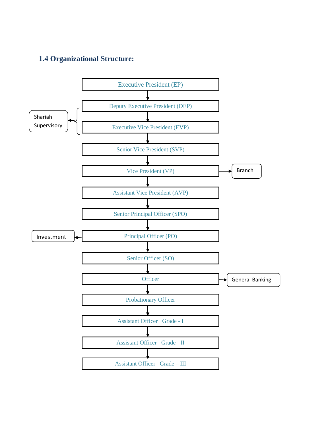## **1.4 Organizational Structure:**

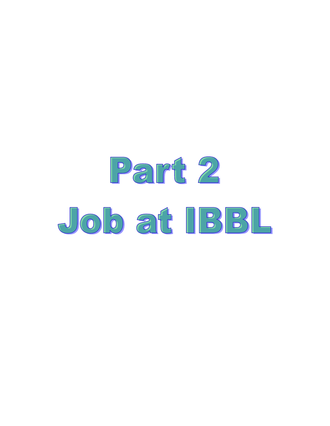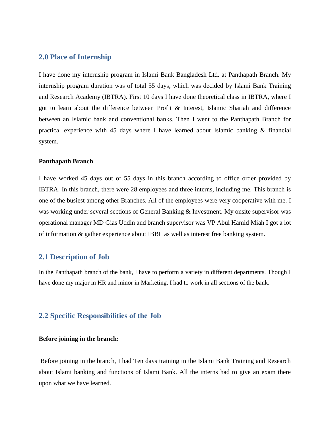#### **2.0 Place of Internship**

I have done my internship program in Islami Bank Bangladesh Ltd. at Panthapath Branch. My internship program duration was of total 55 days, which was decided by Islami Bank Training and Research Academy (IBTRA). First 10 days I have done theoretical class in IBTRA, where I got to learn about the difference between Profit & Interest, Islamic Shariah and difference between an Islamic bank and conventional banks. Then I went to the Panthapath Branch for practical experience with 45 days where I have learned about Islamic banking & financial system.

#### **Panthapath Branch**

I have worked 45 days out of 55 days in this branch according to office order provided by IBTRA. In this branch, there were 28 employees and three interns, including me. This branch is one of the busiest among other Branches. All of the employees were very cooperative with me. I was working under several sections of General Banking & Investment. My onsite supervisor was operational manager MD Gias Uddin and branch supervisor was VP Abul Hamid Miah I got a lot of information & gather experience about IBBL as well as interest free banking system.

#### **2.1 Description of Job**

In the Panthapath branch of the bank, I have to perform a variety in different departments. Though I have done my major in HR and minor in Marketing, I had to work in all sections of the bank.

#### **2.2 Specific Responsibilities of the Job**

#### **Before joining in the branch:**

Before joining in the branch, I had Ten days training in the Islami Bank Training and Research about Islami banking and functions of Islami Bank. All the interns had to give an exam there upon what we have learned.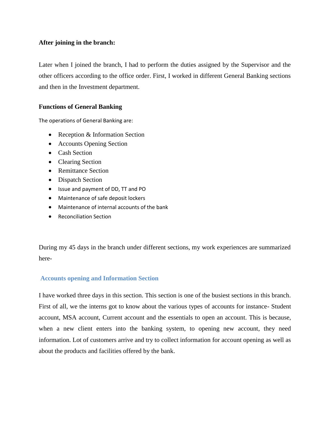#### **After joining in the branch:**

Later when I joined the branch, I had to perform the duties assigned by the Supervisor and the other officers according to the office order. First, I worked in different General Banking sections and then in the Investment department.

#### **Functions of General Banking**

The operations of General Banking are:

- Reception & Information Section
- Accounts Opening Section
- Cash Section
- Clearing Section
- Remittance Section
- Dispatch Section
- Issue and payment of DD, TT and PO
- Maintenance of safe deposit lockers
- Maintenance of internal accounts of the bank
- **•** Reconciliation Section

During my 45 days in the branch under different sections, my work experiences are summarized here-

#### **Accounts opening and Information Section**

I have worked three days in this section. This section is one of the busiest sections in this branch. First of all, we the interns got to know about the various types of accounts for instance- Student account, MSA account, Current account and the essentials to open an account. This is because, when a new client enters into the banking system, to opening new account, they need information. Lot of customers arrive and try to collect information for account opening as well as about the products and facilities offered by the bank.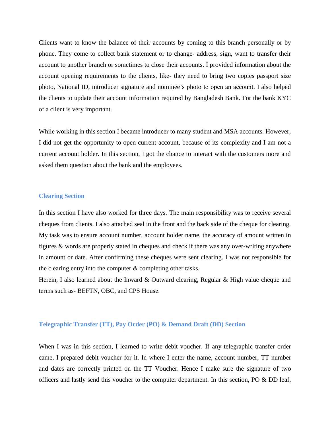Clients want to know the balance of their accounts by coming to this branch personally or by phone. They come to collect bank statement or to change- address, sign, want to transfer their account to another branch or sometimes to close their accounts. I provided information about the account opening requirements to the clients, like- they need to bring two copies passport size photo, National ID, introducer signature and nominee"s photo to open an account. I also helped the clients to update their account information required by Bangladesh Bank. For the bank KYC of a client is very important.

While working in this section I became introducer to many student and MSA accounts. However, I did not get the opportunity to open current account, because of its complexity and I am not a current account holder. In this section, I got the chance to interact with the customers more and asked them question about the bank and the employees.

#### **Clearing Section**

In this section I have also worked for three days. The main responsibility was to receive several cheques from clients. I also attached seal in the front and the back side of the cheque for clearing. My task was to ensure account number, account holder name, the accuracy of amount written in figures & words are properly stated in cheques and check if there was any over-writing anywhere in amount or date. After confirming these cheques were sent clearing. I was not responsible for the clearing entry into the computer & completing other tasks.

Herein, I also learned about the Inward & Outward clearing, Regular & High value cheque and terms such as- BEFTN, OBC, and CPS House.

#### **Telegraphic Transfer (TT), Pay Order (PO) & Demand Draft (DD) Section**

When I was in this section, I learned to write debit voucher. If any telegraphic transfer order came, I prepared debit voucher for it. In where I enter the name, account number, TT number and dates are correctly printed on the TT Voucher. Hence I make sure the signature of two officers and lastly send this voucher to the computer department. In this section, PO & DD leaf,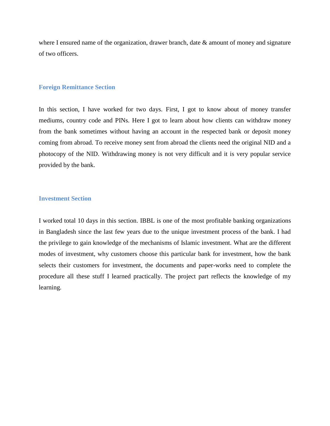where I ensured name of the organization, drawer branch, date & amount of money and signature of two officers.

#### **Foreign Remittance Section**

In this section, I have worked for two days. First, I got to know about of money transfer mediums, country code and PINs. Here I got to learn about how clients can withdraw money from the bank sometimes without having an account in the respected bank or deposit money coming from abroad. To receive money sent from abroad the clients need the original NID and a photocopy of the NID. Withdrawing money is not very difficult and it is very popular service provided by the bank.

#### **Investment Section**

I worked total 10 days in this section. IBBL is one of the most profitable banking organizations in Bangladesh since the last few years due to the unique investment process of the bank. I had the privilege to gain knowledge of the mechanisms of Islamic investment. What are the different modes of investment, why customers choose this particular bank for investment, how the bank selects their customers for investment, the documents and paper-works need to complete the procedure all these stuff I learned practically. The project part reflects the knowledge of my learning.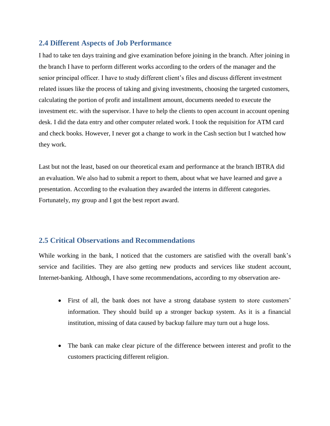### **2.4 Different Aspects of Job Performance**

I had to take ten days training and give examination before joining in the branch. After joining in the branch I have to perform different works according to the orders of the manager and the senior principal officer. I have to study different client's files and discuss different investment related issues like the process of taking and giving investments, choosing the targeted customers, calculating the portion of profit and installment amount, documents needed to execute the investment etc. with the supervisor. I have to help the clients to open account in account opening desk. I did the data entry and other computer related work. I took the requisition for ATM card and check books. However, I never got a change to work in the Cash section but I watched how they work.

Last but not the least, based on our theoretical exam and performance at the branch IBTRA did an evaluation. We also had to submit a report to them, about what we have learned and gave a presentation. According to the evaluation they awarded the interns in different categories. Fortunately, my group and I got the best report award.

## **2.5 Critical Observations and Recommendations**

While working in the bank, I noticed that the customers are satisfied with the overall bank's service and facilities. They are also getting new products and services like student account, Internet-banking. Although, I have some recommendations, according to my observation are-

- First of all, the bank does not have a strong database system to store customers' information. They should build up a stronger backup system. As it is a financial institution, missing of data caused by backup failure may turn out a huge loss.
- The bank can make clear picture of the difference between interest and profit to the customers practicing different religion.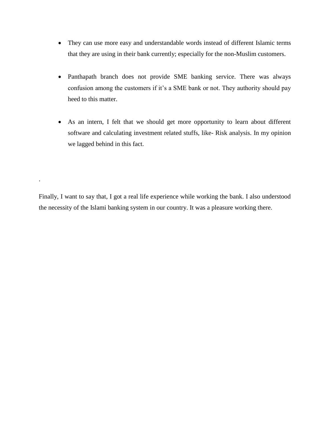- They can use more easy and understandable words instead of different Islamic terms that they are using in their bank currently; especially for the non-Muslim customers.
- Panthapath branch does not provide SME banking service. There was always confusion among the customers if it's a SME bank or not. They authority should pay heed to this matter.
- As an intern, I felt that we should get more opportunity to learn about different software and calculating investment related stuffs, like- Risk analysis. In my opinion we lagged behind in this fact.

Finally, I want to say that, I got a real life experience while working the bank. I also understood the necessity of the Islami banking system in our country. It was a pleasure working there.

.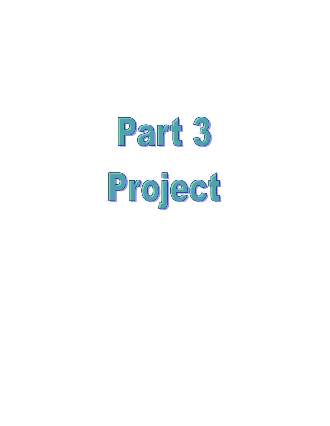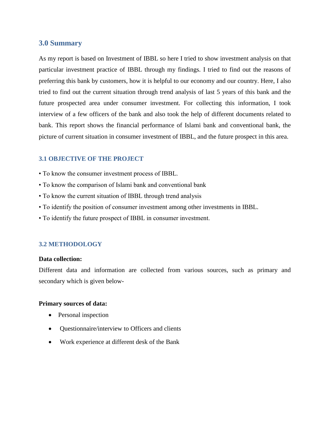#### **3.0 Summary**

As my report is based on Investment of IBBL so here I tried to show investment analysis on that particular investment practice of IBBL through my findings. I tried to find out the reasons of preferring this bank by customers, how it is helpful to our economy and our country. Here, I also tried to find out the current situation through trend analysis of last 5 years of this bank and the future prospected area under consumer investment. For collecting this information, I took interview of a few officers of the bank and also took the help of different documents related to bank. This report shows the financial performance of Islami bank and conventional bank, the picture of current situation in consumer investment of IBBL, and the future prospect in this area.

#### **3.1 OBJECTIVE OF THE PROJECT**

- To know the consumer investment process of IBBL.
- To know the comparison of Islami bank and conventional bank
- To know the current situation of IBBL through trend analysis
- To identify the position of consumer investment among other investments in IBBL.
- To identify the future prospect of IBBL in consumer investment.

#### **3.2 METHODOLOGY**

#### **Data collection:**

Different data and information are collected from various sources, such as primary and secondary which is given below-

#### **Primary sources of data:**

- Personal inspection
- Questionnaire/interview to Officers and clients
- Work experience at different desk of the Bank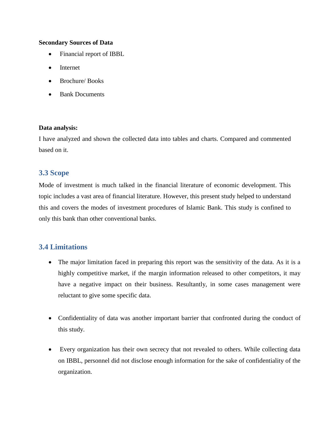#### **Secondary Sources of Data**

- Financial report of IBBL
- Internet
- Brochure/ Books
- Bank Documents

#### **Data analysis:**

I have analyzed and shown the collected data into tables and charts. Compared and commented based on it.

### **3.3 Scope**

Mode of investment is much talked in the financial literature of economic development. This topic includes a vast area of financial literature. However, this present study helped to understand this and covers the modes of investment procedures of Islamic Bank. This study is confined to only this bank than other conventional banks.

## **3.4 Limitations**

- The major limitation faced in preparing this report was the sensitivity of the data. As it is a highly competitive market, if the margin information released to other competitors, it may have a negative impact on their business. Resultantly, in some cases management were reluctant to give some specific data.
- Confidentiality of data was another important barrier that confronted during the conduct of this study.
- Every organization has their own secrecy that not revealed to others. While collecting data on IBBL, personnel did not disclose enough information for the sake of confidentiality of the organization.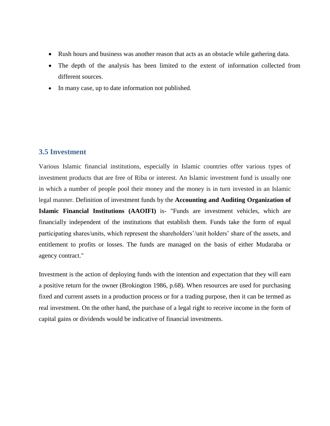- Rush hours and business was another reason that acts as an obstacle while gathering data.
- The depth of the analysis has been limited to the extent of information collected from different sources.
- In many case, up to date information not published.

### **3.5 Investment**

Various Islamic financial institutions, especially in Islamic countries offer various types of investment products that are free of Riba or interest. An Islamic investment fund is usually one in which a number of people pool their money and the money is in turn invested in an Islamic legal manner. Definition of investment funds by the **Accounting and Auditing Organization of Islamic Financial Institutions (AAOIFI)** is- "Funds are investment vehicles, which are financially independent of the institutions that establish them. Funds take the form of equal participating shares/units, which represent the shareholders'/unit holders' share of the assets, and entitlement to profits or losses. The funds are managed on the basis of either Mudaraba or agency contract."

Investment is the action of deploying funds with the intention and expectation that they will earn a positive return for the owner (Brokington 1986, p.68). When resources are used for purchasing fixed and current assets in a production process or for a trading purpose, then it can be termed as real investment. On the other hand, the purchase of a legal right to receive income in the form of capital gains or dividends would be indicative of financial investments.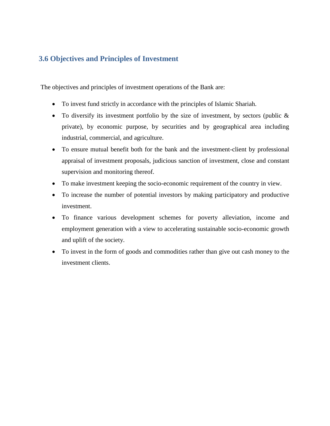## **3.6 Objectives and Principles of Investment**

The objectives and principles of investment operations of the Bank are:

- To invest fund strictly in accordance with the principles of Islamic Shariah.
- To diversify its investment portfolio by the size of investment, by sectors (public & private), by economic purpose, by securities and by geographical area including industrial, commercial, and agriculture.
- To ensure mutual benefit both for the bank and the investment-client by professional appraisal of investment proposals, judicious sanction of investment, close and constant supervision and monitoring thereof.
- To make investment keeping the socio-economic requirement of the country in view.
- To increase the number of potential investors by making participatory and productive investment.
- To finance various development schemes for poverty alleviation, income and employment generation with a view to accelerating sustainable socio-economic growth and uplift of the society.
- To invest in the form of goods and commodities rather than give out cash money to the investment clients.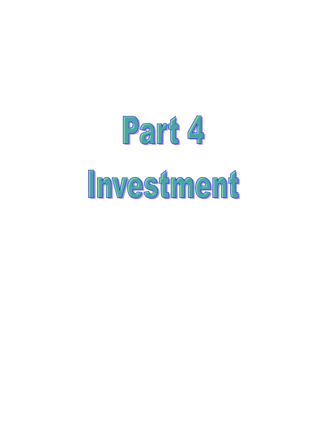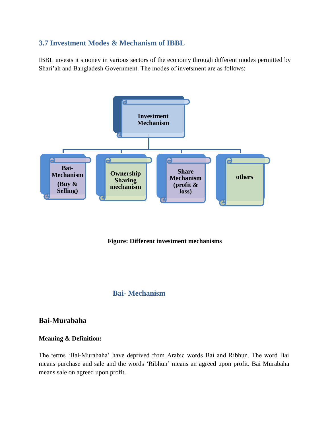## **3.7 Investment Modes & Mechanism of IBBL**

IBBL invests it smoney in various sectors of the economy through different modes permitted by Shari"ah and Bangladesh Government. The modes of invetsment are as follows:



**Figure: Different investment mechanisms**

## **Bai- Mechanism**

## **Bai-Murabaha**

#### **Meaning & Definition:**

The terms "Bai-Murabaha" have deprived from Arabic words Bai and Ribhun. The word Bai means purchase and sale and the words "Ribhun" means an agreed upon profit. Bai Murabaha means sale on agreed upon profit.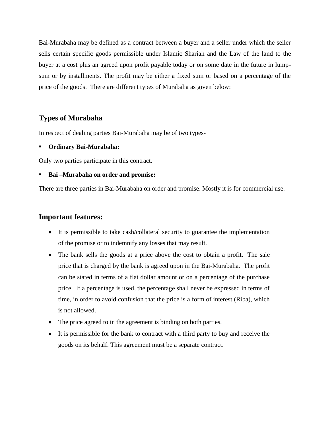Bai-Murabaha may be defined as a contract between a buyer and a seller under which the seller sells certain specific goods permissible under Islamic Shariah and the Law of the land to the buyer at a cost plus an agreed upon profit payable today or on some date in the future in lumpsum or by installments. The profit may be either a fixed sum or based on a percentage of the price of the goods. There are different types of Murabaha as given below:

## **Types of Murabaha**

In respect of dealing parties Bai-Murabaha may be of two types-

#### **Ordinary Bai-Murabaha:**

Only two parties participate in this contract.

#### **Bai –Murabaha on order and promise:**

There are three parties in Bai-Murabaha on order and promise. Mostly it is for commercial use.

## **Important features:**

- It is permissible to take cash/collateral security to guarantee the implementation of the promise or to indemnify any losses that may result.
- The bank sells the goods at a price above the cost to obtain a profit. The sale price that is charged by the bank is agreed upon in the Bai-Murabaha. The profit can be stated in terms of a flat dollar amount or on a percentage of the purchase price. If a percentage is used, the percentage shall never be expressed in terms of time, in order to avoid confusion that the price is a form of interest (Riba), which is not allowed.
- The price agreed to in the agreement is binding on both parties.
- It is permissible for the bank to contract with a third party to buy and receive the goods on its behalf. This agreement must be a separate contract.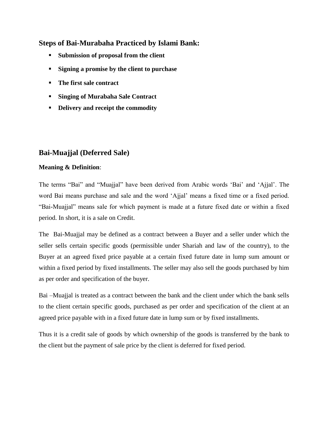## **Steps of Bai-Murabaha Practiced by Islami Bank:**

- **Submission of proposal from the client**
- **Signing a promise by the client to purchase**
- **The first sale contract**
- **Singing of Murabaha Sale Contract**
- **Delivery and receipt the commodity**

## **Bai-Muajjal (Deferred Sale)**

### **Meaning & Definition**:

The terms "Bai" and "Muajjal" have been derived from Arabic words "Bai" and "Ajjal". The word Bai means purchase and sale and the word "Ajjal" means a fixed time or a fixed period. "Bai-Muajjal" means sale for which payment is made at a future fixed date or within a fixed period. In short, it is a sale on Credit.

The Bai-Muajjal may be defined as a contract between a Buyer and a seller under which the seller sells certain specific goods (permissible under Shariah and law of the country), to the Buyer at an agreed fixed price payable at a certain fixed future date in lump sum amount or within a fixed period by fixed installments. The seller may also sell the goods purchased by him as per order and specification of the buyer.

Bai –Muajjal is treated as a contract between the bank and the client under which the bank sells to the client certain specific goods, purchased as per order and specification of the client at an agreed price payable with in a fixed future date in lump sum or by fixed installments.

Thus it is a credit sale of goods by which ownership of the goods is transferred by the bank to the client but the payment of sale price by the client is deferred for fixed period.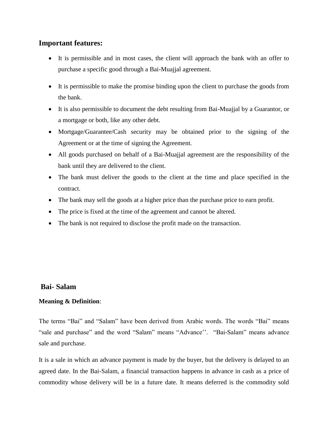## **Important features:**

- It is permissible and in most cases, the client will approach the bank with an offer to purchase a specific good through a Bai-Muajjal agreement.
- It is permissible to make the promise binding upon the client to purchase the goods from the bank.
- It is also permissible to document the debt resulting from Bai-Muajjal by a Guarantor, or a mortgage or both, like any other debt.
- Mortgage/Guarantee/Cash security may be obtained prior to the signing of the Agreement or at the time of signing the Agreement.
- All goods purchased on behalf of a Bai-Muajjal agreement are the responsibility of the bank until they are delivered to the client.
- The bank must deliver the goods to the client at the time and place specified in the contract.
- The bank may sell the goods at a higher price than the purchase price to earn profit.
- The price is fixed at the time of the agreement and cannot be altered.
- The bank is not required to disclose the profit made on the transaction.

### **Bai- Salam**

#### **Meaning & Definition**:

The terms "Bai" and "Salam" have been derived from Arabic words. The words "Bai" means "sale and purchase" and the word "Salam" means "Advance". "Bai-Salam" means advance sale and purchase.

It is a sale in which an advance payment is made by the buyer, but the delivery is delayed to an agreed date. In the Bai-Salam, a financial transaction happens in advance in cash as a price of commodity whose delivery will be in a future date. It means deferred is the commodity sold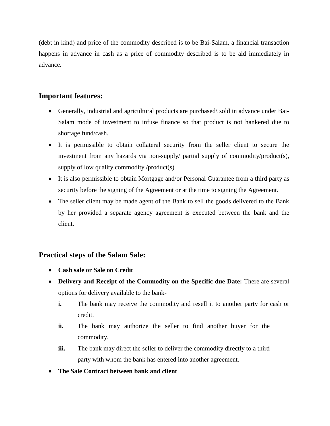(debt in kind) and price of the commodity described is to be Bai-Salam, a financial transaction happens in advance in cash as a price of commodity described is to be aid immediately in advance.

## **Important features:**

- Generally, industrial and agricultural products are purchased\ sold in advance under Bai-Salam mode of investment to infuse finance so that product is not hankered due to shortage fund/cash.
- It is permissible to obtain collateral security from the seller client to secure the investment from any hazards via non-supply/ partial supply of commodity/product(s), supply of low quality commodity /product(s).
- It is also permissible to obtain Mortgage and/or Personal Guarantee from a third party as security before the signing of the Agreement or at the time to signing the Agreement.
- The seller client may be made agent of the Bank to sell the goods delivered to the Bank by her provided a separate agency agreement is executed between the bank and the client.

## **Practical steps of the Salam Sale:**

- **Cash sale or Sale on Credit**
- **Delivery and Receipt of the Commodity on the Specific due Date:** There are several options for delivery available to the bank
	- **i.** The bank may receive the commodity and resell it to another party for cash or credit.
	- **ii.** The bank may authorize the seller to find another buyer for the commodity.
	- **iii.** The bank may direct the seller to deliver the commodity directly to a third party with whom the bank has entered into another agreement.
- **The Sale Contract between bank and client**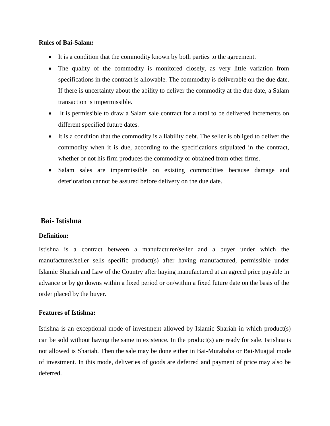#### **Rules of Bai-Salam:**

- It is a condition that the commodity known by both parties to the agreement.
- The quality of the commodity is monitored closely, as very little variation from specifications in the contract is allowable. The commodity is deliverable on the due date. If there is uncertainty about the ability to deliver the commodity at the due date, a Salam transaction is impermissible.
- It is permissible to draw a Salam sale contract for a total to be delivered increments on different specified future dates.
- It is a condition that the commodity is a liability debt. The seller is obliged to deliver the commodity when it is due, according to the specifications stipulated in the contract, whether or not his firm produces the commodity or obtained from other firms.
- Salam sales are impermissible on existing commodities because damage and deterioration cannot be assured before delivery on the due date.

## **Bai- Istishna**

#### **Definition:**

Istishna is a contract between a manufacturer/seller and a buyer under which the manufacturer/seller sells specific product(s) after having manufactured, permissible under Islamic Shariah and Law of the Country after haying manufactured at an agreed price payable in advance or by go downs within a fixed period or on/within a fixed future date on the basis of the order placed by the buyer.

#### **Features of Istishna:**

Istishna is an exceptional mode of investment allowed by Islamic Shariah in which product(s) can be sold without having the same in existence. In the product(s) are ready for sale. Istishna is not allowed is Shariah. Then the sale may be done either in Bai-Murabaha or Bai-Muajjal mode of investment. In this mode, deliveries of goods are deferred and payment of price may also be deferred.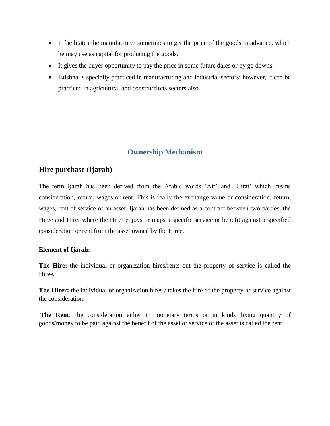- It facilitates the manufacturer sometimes to get the price of the goods in advance, which he may use as capital for producing the goods.
- It gives the buyer opportunity to pay the price in some future dales or by go downs.
- Istishna is specially practiced in manufacturing and industrial sectors; however, it can be practiced in agricultural and constructions sectors also.

## **Ownership Mechanism**

## **Hire purchase (Ijarah)**

The term Ijarah has been derived from the Arabic words "Air" and "Uirat" which means consideration, return, wages or rent. This is really the exchange value or consideration, return, wages, rent of service of an asset. Ijarah has been defined as a contract between two parties, the Hiree and Hirer where the Hirer enjoys or reaps a specific service or benefit against a specified consideration or rent from the asset owned by the Hiree.

### **Element of Ijarah:**

**The Hire:** the individual or organization hires/rents out the property of service is called the Hiree.

**The Hirer:** the individual of organization hires / takes the hire of the property or service against the consideration.

**The Rent**: the consideration either in monetary terms or in kinds fixing quantity of goods/money to be paid against the benefit of the asset or service of the asset is called the rent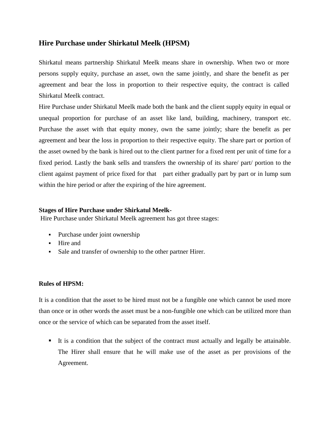## **Hire Purchase under Shirkatul Meelk (HPSM)**

Shirkatul means partnership Shirkatul Meelk means share in ownership. When two or more persons supply equity, purchase an asset, own the same jointly, and share the benefit as per agreement and bear the loss in proportion to their respective equity, the contract is called Shirkatul Meelk contract.

Hire Purchase under Shirkatul Meelk made both the bank and the client supply equity in equal or unequal proportion for purchase of an asset like land, building, machinery, transport etc. Purchase the asset with that equity money, own the same jointly; share the benefit as per agreement and bear the loss in proportion to their respective equity. The share part or portion of the asset owned by the bank is hired out to the client partner for a fixed rent per unit of time for a fixed period. Lastly the bank sells and transfers the ownership of its share/ part/ portion to the client against payment of price fixed for that part either gradually part by part or in lump sum within the hire period or after the expiring of the hire agreement.

#### **Stages of Hire Purchase under Shirkatul Meelk-**

Hire Purchase under Shirkatul Meelk agreement has got three stages:

- Purchase under joint ownership
- Hire and
- Sale and transfer of ownership to the other partner Hirer.

#### **Rules of HPSM:**

It is a condition that the asset to be hired must not be a fungible one which cannot be used more than once or in other words the asset must be a non-fungible one which can be utilized more than once or the service of which can be separated from the asset itself.

 It is a condition that the subject of the contract must actually and legally be attainable. The Hirer shall ensure that he will make use of the asset as per provisions of the Agreement.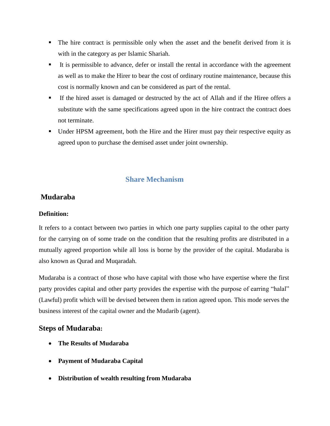- The hire contract is permissible only when the asset and the benefit derived from it is with in the category as per Islamic Shariah.
- It is permissible to advance, defer or install the rental in accordance with the agreement as well as to make the Hirer to bear the cost of ordinary routine maintenance, because this cost is normally known and can be considered as part of the rental.
- If the hired asset is damaged or destructed by the act of Allah and if the Hiree offers a substitute with the same specifications agreed upon in the hire contract the contract does not terminate.
- Under HPSM agreement, both the Hire and the Hirer must pay their respective equity as agreed upon to purchase the demised asset under joint ownership.

## **Share Mechanism**

## **Mudaraba**

### **Definition:**

It refers to a contact between two parties in which one party supplies capital to the other party for the carrying on of some trade on the condition that the resulting profits are distributed in a mutually agreed proportion while all loss is borne by the provider of the capital. Mudaraba is also known as Qurad and Muqaradah.

Mudaraba is a contract of those who have capital with those who have expertise where the first party provides capital and other party provides the expertise with the purpose of earring "halal" (Lawful) profit which will be devised between them in ration agreed upon. This mode serves the business interest of the capital owner and the Mudarib (agent).

## **Steps of Mudaraba:**

- **The Results of Mudaraba**
- **Payment of Mudaraba Capital**
- **Distribution of wealth resulting from Mudaraba**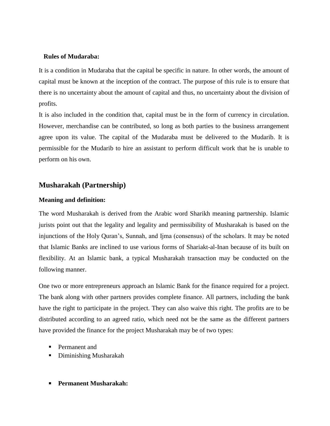#### **Rules of Mudaraba:**

It is a condition in Mudaraba that the capital be specific in nature. In other words, the amount of capital must be known at the inception of the contract. The purpose of this rule is to ensure that there is no uncertainty about the amount of capital and thus, no uncertainty about the division of profits.

It is also included in the condition that, capital must be in the form of currency in circulation. However, merchandise can be contributed, so long as both parties to the business arrangement agree upon its value. The capital of the Mudaraba must be delivered to the Mudarib. It is permissible for the Mudarib to hire an assistant to perform difficult work that he is unable to perform on his own.

### **Musharakah (Partnership)**

#### **Meaning and definition:**

The word Musharakah is derived from the Arabic word Sharikh meaning partnership. Islamic jurists point out that the legality and legality and permissibility of Musharakah is based on the injunctions of the Holy Quran"s, Sunnah, and Ijma (consensus) of the scholars. It may be noted that Islamic Banks are inclined to use various forms of Shariakt-al-Inan because of its built on flexibility. At an Islamic bank, a typical Musharakah transaction may be conducted on the following manner.

One two or more entrepreneurs approach an Islamic Bank for the finance required for a project. The bank along with other partners provides complete finance. All partners, including the bank have the right to participate in the project. They can also waive this right. The profits are to be distributed according to an agreed ratio, which need not be the same as the different partners have provided the finance for the project Musharakah may be of two types:

- **Permanent and**
- Diminishing Musharakah
- **Permanent Musharakah:**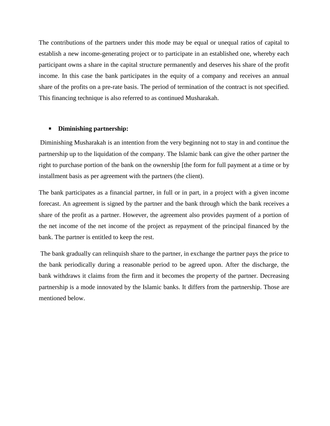The contributions of the partners under this mode may be equal or unequal ratios of capital to establish a new income-generating project or to participate in an established one, whereby each participant owns a share in the capital structure permanently and deserves his share of the profit income. In this case the bank participates in the equity of a company and receives an annual share of the profits on a pre-rate basis. The period of termination of the contract is not specified. This financing technique is also referred to as continued Musharakah.

#### **Diminishing partnership:**

Diminishing Musharakah is an intention from the very beginning not to stay in and continue the partnership up to the liquidation of the company. The Islamic bank can give the other partner the right to purchase portion of the bank on the ownership [the form for full payment at a time or by installment basis as per agreement with the partners (the client).

The bank participates as a financial partner, in full or in part, in a project with a given income forecast. An agreement is signed by the partner and the bank through which the bank receives a share of the profit as a partner. However, the agreement also provides payment of a portion of the net income of the net income of the project as repayment of the principal financed by the bank. The partner is entitled to keep the rest.

The bank gradually can relinquish share to the partner, in exchange the partner pays the price to the bank periodically during a reasonable period to be agreed upon. After the discharge, the bank withdraws it claims from the firm and it becomes the property of the partner. Decreasing partnership is a mode innovated by the Islamic banks. It differs from the partnership. Those are mentioned below.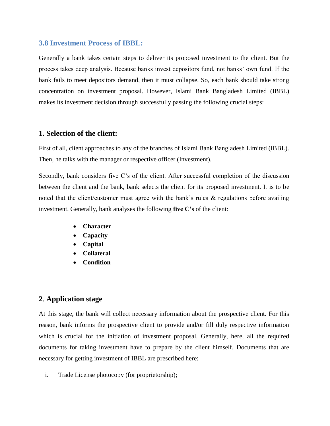### **3.8 Investment Process of IBBL:**

Generally a bank takes certain steps to deliver its proposed investment to the client. But the process takes deep analysis. Because banks invest depositors fund, not banks" own fund. If the bank fails to meet depositors demand, then it must collapse. So, each bank should take strong concentration on investment proposal. However, Islami Bank Bangladesh Limited (IBBL) makes its investment decision through successfully passing the following crucial steps:

### **1. Selection of the client:**

First of all, client approaches to any of the branches of Islami Bank Bangladesh Limited (IBBL). Then, he talks with the manager or respective officer (Investment).

Secondly, bank considers five C's of the client. After successful completion of the discussion between the client and the bank, bank selects the client for its proposed investment. It is to be noted that the client/customer must agree with the bank's rules & regulations before availing investment. Generally, bank analyses the following **five C's** of the client:

- **Character**
- **Capacity**
- **Capital**
- **Collateral**
- **Condition**

### **2**. **Application stage**

At this stage, the bank will collect necessary information about the prospective client. For this reason, bank informs the prospective client to provide and/or fill duly respective information which is crucial for the initiation of investment proposal. Generally, here, all the required documents for taking investment have to prepare by the client himself. Documents that are necessary for getting investment of IBBL are prescribed here:

i. Trade License photocopy (for proprietorship);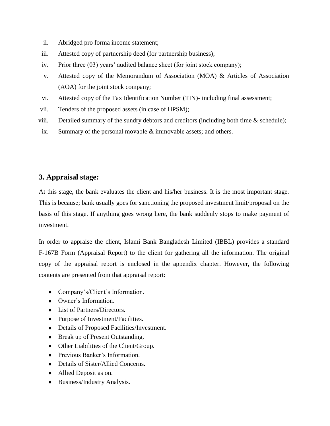- ii. Abridged pro forma income statement;
- iii. Attested copy of partnership deed (for partnership business);
- iv. Prior three (03) years' audited balance sheet (for joint stock company);
- v. Attested copy of the Memorandum of Association (MOA) & Articles of Association (AOA) for the joint stock company;
- vi. Attested copy of the Tax Identification Number (TIN)- including final assessment;
- vii. Tenders of the proposed assets (in case of HPSM);
- viii. Detailed summary of the sundry debtors and creditors (including both time & schedule);
- ix. Summary of the personal movable & immovable assets; and others.

## **3. Appraisal stage:**

At this stage, the bank evaluates the client and his/her business. It is the most important stage. This is because; bank usually goes for sanctioning the proposed investment limit/proposal on the basis of this stage. If anything goes wrong here, the bank suddenly stops to make payment of investment.

In order to appraise the client, Islami Bank Bangladesh Limited (IBBL) provides a standard F-167B Form (Appraisal Report) to the client for gathering all the information. The original copy of the appraisal report is enclosed in the appendix chapter. However, the following contents are presented from that appraisal report:

- Company's/Client's Information.
- Owner's Information.
- List of Partners/Directors.
- Purpose of Investment/Facilities.
- Details of Proposed Facilities/Investment.
- Break up of Present Outstanding.
- Other Liabilities of the Client/Group.
- Previous Banker's Information.
- Details of Sister/Allied Concerns.
- Allied Deposit as on.
- Business/Industry Analysis.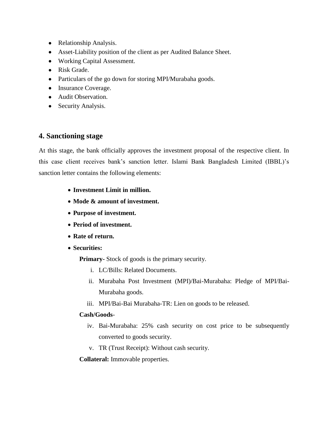- Relationship Analysis.
- Asset-Liability position of the client as per Audited Balance Sheet.
- Working Capital Assessment.
- Risk Grade.
- Particulars of the go down for storing MPI/Murabaha goods.
- Insurance Coverage.
- Audit Observation.
- Security Analysis.

### **4. Sanctioning stage**

At this stage, the bank officially approves the investment proposal of the respective client. In this case client receives bank"s sanction letter. Islami Bank Bangladesh Limited (IBBL)"s sanction letter contains the following elements:

- **Investment Limit in million.**
- **Mode & amount of investment.**
- **Purpose of investment.**
- **Period of investment.**
- **Rate of return.**
- **Securities:**

**Primary-** Stock of goods is the primary security.

- i. LC/Bills: Related Documents.
- ii. Murabaha Post Investment (MPI)/Bai-Murabaha: Pledge of MPI/Bai-Murabaha goods.
- iii. MPI/Bai-Bai Murabaha-TR: Lien on goods to be released.

#### **Cash/Goods**-

- iv. Bai-Murabaha: 25% cash security on cost price to be subsequently converted to goods security.
- v. TR (Trust Receipt): Without cash security.

**Collateral:** Immovable properties.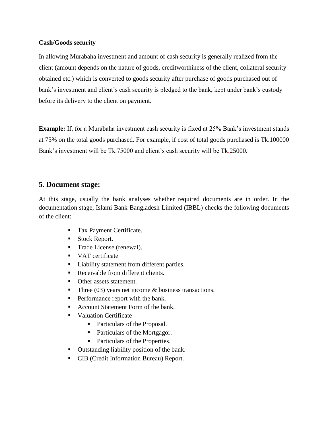#### **Cash/Goods security**

In allowing Murabaha investment and amount of cash security is generally realized from the client (amount depends on the nature of goods, creditworthiness of the client, collateral security obtained etc.) which is converted to goods security after purchase of goods purchased out of bank's investment and client's cash security is pledged to the bank, kept under bank's custody before its delivery to the client on payment.

**Example:** If, for a Murabaha investment cash security is fixed at 25% Bank's investment stands at 75% on the total goods purchased. For example, if cost of total goods purchased is Tk.100000 Bank's investment will be Tk.75000 and client's cash security will be Tk.25000.

## **5. Document stage:**

At this stage, usually the bank analyses whether required documents are in order. In the documentation stage, Islami Bank Bangladesh Limited (IBBL) checks the following documents of the client:

- **Tax Payment Certificate.**
- Stock Report.
- Trade License (renewal).
- VAT certificate
- **Liability statement from different parties.**
- Receivable from different clients.
- Other assets statement.
- Three (03) years net income & business transactions.
- **Performance report with the bank.**
- Account Statement Form of the bank.
- **Valuation Certificate** 
	- Particulars of the Proposal.
	- Particulars of the Mortgagor.
	- Particulars of the Properties.
- Outstanding liability position of the bank.
- CIB (Credit Information Bureau) Report.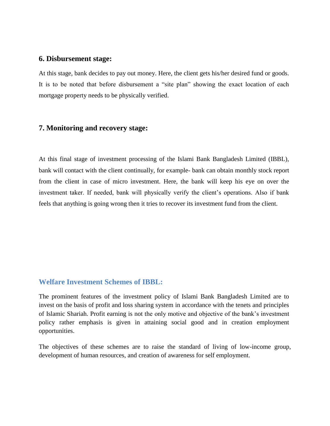### **6. Disbursement stage:**

At this stage, bank decides to pay out money. Here, the client gets his/her desired fund or goods. It is to be noted that before disbursement a "site plan" showing the exact location of each mortgage property needs to be physically verified.

#### **7. Monitoring and recovery stage:**

At this final stage of investment processing of the Islami Bank Bangladesh Limited (IBBL), bank will contact with the client continually, for example- bank can obtain monthly stock report from the client in case of micro investment. Here, the bank will keep his eye on over the investment taker. If needed, bank will physically verify the client"s operations. Also if bank feels that anything is going wrong then it tries to recover its investment fund from the client.

## **Welfare Investment Schemes of IBBL:**

The prominent features of the investment policy of Islami Bank Bangladesh Limited are to invest on the basis of profit and loss sharing system in accordance with the tenets and principles of Islamic Shariah. Profit earning is not the only motive and objective of the bank"s investment policy rather emphasis is given in attaining social good and in creation employment opportunities.

The objectives of these schemes are to raise the standard of living of low-income group, development of human resources, and creation of awareness for self employment.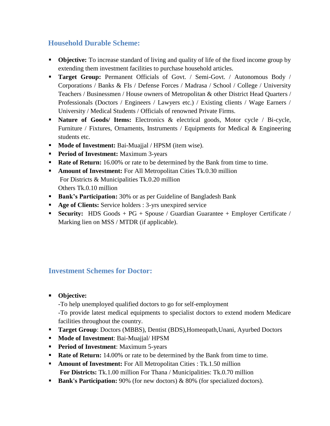## **Household Durable Scheme:**

- **Objective:** To increase standard of living and quality of life of the fixed income group by extending them investment facilities to purchase household articles.
- **Target Group:** Permanent Officials of Govt. / Semi-Govt. / Autonomous Body / Corporations / Banks & FIs / Defense Forces / Madrasa / School / College / University Teachers / Businessmen / House owners of Metropolitan & other District Head Quarters / Professionals (Doctors / Engineers / Lawyers etc.) / Existing clients / Wage Earners / University / Medical Students / Officials of renowned Private Firms.
- **Nature of Goods/ Items:** Electronics & electrical goods, Motor cycle / Bi-cycle, Furniture / Fixtures, Ornaments, Instruments / Equipments for Medical & Engineering students etc.
- **Mode of Investment:** Bai-Muajjal / HPSM (item wise).
- **Period of Investment:** Maximum 3-years
- **Rate of Return:** 16.00% or rate to be determined by the Bank from time to time.
- **Amount of Investment:** For All Metropolitan Cities Tk.0.30 million For Districts & Municipalities Tk.0.20 million Others Tk.0.10 million
- **Bank's Participation:** 30% or as per Guideline of Bangladesh Bank
- **Age of Clients:** Service holders : 3-yrs unexpired service
- **Security:** HDS Goods + PG + Spouse / Guardian Guarantee + Employer Certificate / Marking lien on MSS / MTDR (if applicable).

## **Investment Schemes for Doctor:**

**Objective:**

-To help unemployed qualified doctors to go for self-employment

-To provide latest medical equipments to specialist doctors to extend modern Medicare facilities throughout the country.

- **Target Group:** Doctors (MBBS), Dentist (BDS), Homeopath, Unani, Ayurbed Doctors
- **Mode of Investment: Bai-Muajjal/ HPSM**
- **Period of Investment:** Maximum 5-years
- **Rate of Return:** 14.00% or rate to be determined by the Bank from time to time.
- **Amount of Investment:** For All Metropolitan Cities : Tk.1.50 million **For Districts:** Tk.1.00 million For Thana / Municipalities: Tk.0.70 million
- **Bank's Participation:** 90% (for new doctors) & 80% (for specialized doctors).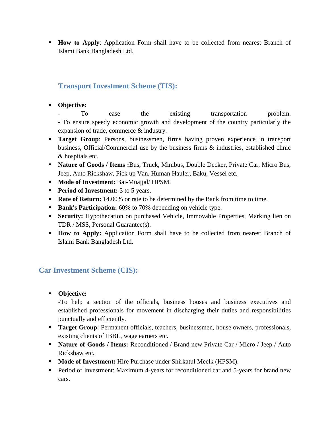**How to Apply**: Application Form shall have to be collected from nearest Branch of Islami Bank Bangladesh Ltd.

## **Transport Investment Scheme (TIS):**

**Objective:** 

To ease the existing transportation problem. - To ensure speedy economic growth and development of the country particularly the expansion of trade, commerce & industry.

- **Target Group**: Persons, businessmen, firms having proven experience in transport business, Official/Commercial use by the business firms & industries, established clinic & hospitals etc.
- **Nature of Goods / Items :**Bus, Truck, Minibus, Double Decker, Private Car, Micro Bus, Jeep, Auto Rickshaw, Pick up Van, Human Hauler, Baku, Vessel etc.
- **Mode of Investment:** Bai-Muajjal/HPSM.
- **Period of Investment:** 3 to 5 years.
- **Rate of Return:** 14.00% or rate to be determined by the Bank from time to time.
- **Bank's Participation:** 60% to 70% depending on vehicle type.
- **Security:** Hypothecation on purchased Vehicle, Immovable Properties, Marking lien on TDR / MSS, Personal Guarantee(s).
- **How to Apply:** Application Form shall have to be collected from nearest Branch of Islami Bank Bangladesh Ltd.

# **Car Investment Scheme (CIS):**

**Objective:**

-To help a section of the officials, business houses and business executives and established professionals for movement in discharging their duties and responsibilities punctually and efficiently.

- **Target Group:** Permanent officials, teachers, businessmen, house owners, professionals, existing clients of IBBL, wage earners etc.
- **Nature of Goods / Items:** Reconditioned / Brand new Private Car / Micro / Jeep / Auto Rickshaw etc.
- **Mode of Investment:** Hire Purchase under Shirkatul Meelk (HPSM).
- **Period of Investment: Maximum 4-years for reconditioned car and 5-years for brand new** cars.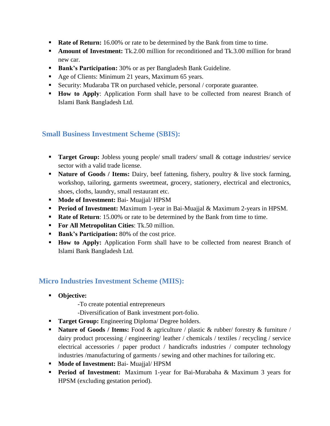- **Rate of Return:** 16.00% or rate to be determined by the Bank from time to time.
- **Amount of Investment:** Tk.2.00 million for reconditioned and Tk.3.00 million for brand new car.
- **Bank's Participation:** 30% or as per Bangladesh Bank Guideline.
- Age of Clients: Minimum 21 years, Maximum 65 years.
- Security: Mudaraba TR on purchased vehicle, personal / corporate guarantee.
- **How to Apply:** Application Form shall have to be collected from nearest Branch of Islami Bank Bangladesh Ltd.

## **Small Business Investment Scheme (SBIS):**

- **Target Group:** Jobless young people/ small traders/ small & cottage industries/ service sector with a valid trade license.
- **Nature of Goods / Items:** Dairy, beef fattening, fishery, poultry & live stock farming, workshop, tailoring, garments sweetmeat, grocery, stationery, electrical and electronics, shoes, cloths, laundry, small restaurant etc.
- **Mode of Investment:** Bai- Muajjal/HPSM
- **Period of Investment:** Maximum 1-year in Bai-Muajjal & Maximum 2-years in HPSM.
- **Rate of Return**: 15.00% or rate to be determined by the Bank from time to time.
- **For All Metropolitan Cities**: Tk.50 million.
- **Bank's Participation:** 80% of the cost price.
- **How to Apply:** Application Form shall have to be collected from nearest Branch of Islami Bank Bangladesh Ltd.

## **Micro Industries Investment Scheme (MIIS):**

- **Objective:** 
	- -To create potential entrepreneurs
	- -Diversification of Bank investment port-folio.
- **Target Group:** Engineering Diploma/ Degree holders.
- **Nature of Goods / Items:** Food & agriculture / plastic & rubber/ forestry & furniture / dairy product processing / engineering/ leather / chemicals / textiles / recycling / service electrical accessories / paper product / handicrafts industries / computer technology industries /manufacturing of garments / sewing and other machines for tailoring etc.
- **Mode of Investment:** Bai- Muajjal/ **HPSM**
- **Period of Investment:** Maximum 1-year for Bai-Murabaha & Maximum 3 years for HPSM (excluding gestation period).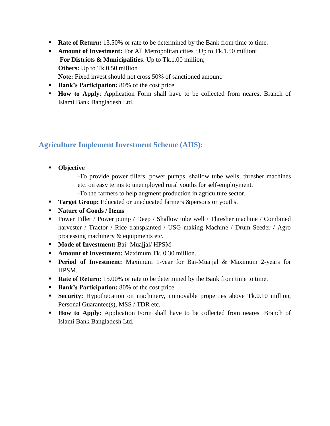- **Rate of Return:** 13.50% or rate to be determined by the Bank from time to time.
- **Amount of Investment:** For All Metropolitan cities : Up to Tk.1.50 million; **For Districts & Municipalities**: Up to Tk.1.00 million; **Others:** Up to Tk.0.50 million **Note:** Fixed invest should not cross 50% of sanctioned amount.
- **Bank's Participation:** 80% of the cost price.
- **How to Apply:** Application Form shall have to be collected from nearest Branch of Islami Bank Bangladesh Ltd.

## **Agriculture Implement Investment Scheme (AIIS):**

- **Objective**
	- -To provide power tillers, power pumps, shallow tube wells, thresher machines etc. on easy terms to unemployed rural youths for self-employment.
	- -To the farmers to help augment production in agriculture sector.
- **Target Group:** Educated or uneducated farmers &persons or youths.
- **Nature of Goods / Items**
- **Power Tiller / Power pump / Deep / Shallow tube well / Thresher machine / Combined** harvester / Tractor / Rice transplanted / USG making Machine / Drum Seeder / Agro processing machinery & equipments etc.
- **Mode of Investment:** Bai- Muajjal/ HPSM
- **Amount of Investment:** Maximum Tk. 0.30 million.
- **Period of Investment:** Maximum 1-year for Bai-Muajjal & Maximum 2-years for HPSM.
- **Rate of Return:** 15.00% or rate to be determined by the Bank from time to time.
- **Bank's Participation:** 80% of the cost price.
- **Security:** Hypothecation on machinery, immovable properties above Tk.0.10 million, Personal Guarantee(s), MSS / TDR etc.
- **How to Apply:** Application Form shall have to be collected from nearest Branch of Islami Bank Bangladesh Ltd.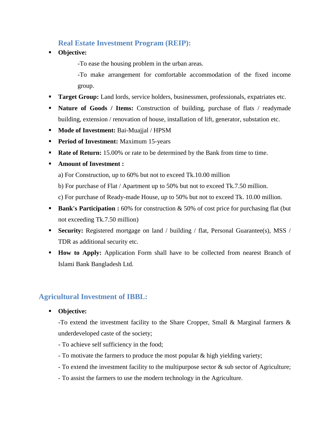## **Real Estate Investment Program (REIP):**

**Objective:**

-To ease the housing problem in the urban areas.

-To make arrangement for comfortable accommodation of the fixed income group.

- **Target Group:** Land lords, service holders, businessmen, professionals, expatriates etc.
- **Nature of Goods / Items:** Construction of building, purchase of flats / readymade building, extension / renovation of house, installation of lift, generator, substation etc.
- **Mode of Investment:** Bai-Muajjal / HPSM
- **Period of Investment:** Maximum 15-years
- **Rate of Return:** 15.00% or rate to be determined by the Bank from time to time.
- **Amount of Investment :**
	- a) For Construction, up to 60% but not to exceed Tk.10.00 million
	- b) For purchase of Flat / Apartment up to 50% but not to exceed Tk.7.50 million.
	- c) For purchase of Ready-made House, up to 50% but not to exceed Tk. 10.00 million.
- **Bank's Participation :** 60% for construction & 50% of cost price for purchasing flat (but not exceeding Tk.7.50 million)
- **Security:** Registered mortgage on land / building / flat, Personal Guarantee(s), MSS / TDR as additional security etc.
- **How to Apply:** Application Form shall have to be collected from nearest Branch of Islami Bank Bangladesh Ltd.

## **Agricultural Investment of IBBL:**

#### **Objective:**

-To extend the investment facility to the Share Cropper, Small & Marginal farmers & underdeveloped caste of the society;

- To achieve self sufficiency in the food;
- To motivate the farmers to produce the most popular & high yielding variety;
- To extend the investment facility to the multipurpose sector & sub sector of Agriculture;
- To assist the farmers to use the modern technology in the Agriculture.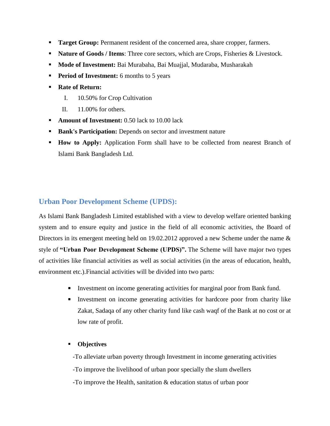- **Target Group:** Permanent resident of the concerned area, share cropper, farmers.
- **Nature of Goods / Items:** Three core sectors, which are Crops, Fisheries & Livestock.
- **Mode of Investment:** Bai Murabaha, Bai Muajjal, Mudaraba, Musharakah
- **Period of Investment:** 6 months to 5 years
- **Rate of Return:**
	- I. 10.50% for Crop Cultivation
	- II. 11.00% for others.
- **Amount of Investment:** 0.50 lack to 10.00 lack
- **Bank's Participation:** Depends on sector and investment nature
- **How to Apply:** Application Form shall have to be collected from nearest Branch of Islami Bank Bangladesh Ltd.

## **Urban Poor Development Scheme (UPDS):**

As Islami Bank Bangladesh Limited established with a view to develop welfare oriented banking system and to ensure equity and justice in the field of all economic activities, the Board of Directors in its emergent meeting held on 19.02.2012 approved a new Scheme under the name & style of **"Urban Poor Development Scheme (UPDS)".** The Scheme will have major two types of activities like financial activities as well as social activities (in the areas of education, health, environment etc.).Financial activities will be divided into two parts:

- Investment on income generating activities for marginal poor from Bank fund.
- Investment on income generating activities for hardcore poor from charity like Zakat, Sadaqa of any other charity fund like cash waqf of the Bank at no cost or at low rate of profit.

### **Objectives**

 -To alleviate urban poverty through Investment in income generating activities -To improve the livelihood of urban poor specially the slum dwellers -To improve the Health, sanitation & education status of urban poor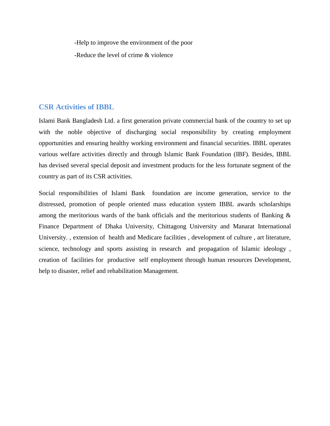-Help to improve the environment of the poor

-Reduce the level of crime & violence

### **CSR Activities of IBBL**

Islami Bank Bangladesh Ltd. a first generation private commercial bank of the country to set up with the noble objective of discharging social responsibility by creating employment opportunities and ensuring healthy working environment and financial securities. IBBL operates various welfare activities directly and through Islamic Bank Foundation (IBF). Besides, IBBL has devised several special deposit and investment products for the less fortunate segment of the country as part of its CSR activities.

Social responsibilities of Islami Bank foundation are income generation, service to the distressed, promotion of people oriented mass education system IBBL awards scholarships among the meritorious wards of the bank officials and the meritorious students of Banking & Finance Department of Dhaka University, Chittagong University and Manarat International University. , extension of health and Medicare facilities , development of culture , art literature, science, technology and sports assisting in research and propagation of Islamic ideology , creation of facilities for productive self employment through human resources Development, help to disaster, relief and rehabilitation Management.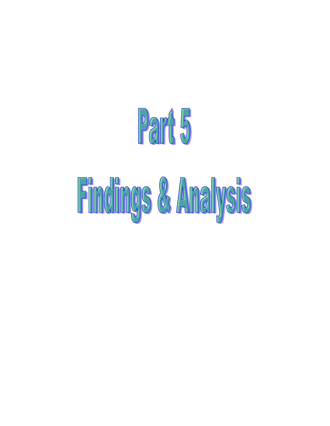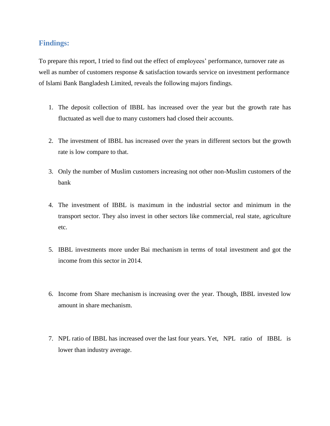### **Findings:**

To prepare this report, I tried to find out the effect of employees' performance, turnover rate as well as number of customers response & satisfaction towards service on investment performance of Islami Bank Bangladesh Limited, reveals the following majors findings.

- 1. The deposit collection of IBBL has increased over the year but the growth rate has fluctuated as well due to many customers had closed their accounts.
- 2. The investment of IBBL has increased over the years in different sectors but the growth rate is low compare to that.
- 3. Only the number of Muslim customers increasing not other non-Muslim customers of the bank
- 4. The investment of IBBL is maximum in the industrial sector and minimum in the transport sector. They also invest in other sectors like commercial, real state, agriculture etc.
- 5. IBBL investments more under Bai mechanism in terms of total investment and got the income from this sector in 2014.
- 6. Income from Share mechanism is increasing over the year. Though, IBBL invested low amount in share mechanism.
- 7. NPL ratio of IBBL has increased over the last four years. Yet, NPL ratio of IBBL is lower than industry average.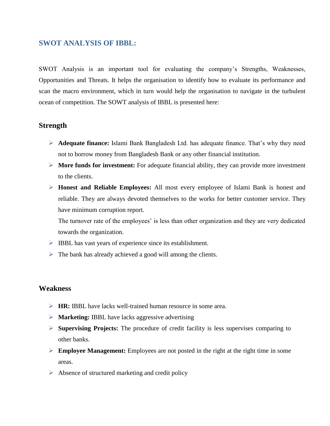### **SWOT ANALYSIS OF IBBL:**

SWOT Analysis is an important tool for evaluating the company"s Strengths, Weaknesses, Opportunities and Threats. It helps the organisation to identify how to evaluate its performance and scan the macro environment, which in turn would help the organisation to navigate in the turbulent ocean of competition. The SOWT analysis of IBBL is presented here:

### **Strength**

- **Adequate finance:** Islami Bank Bangladesh Ltd. has adequate finance. That"s why they need not to borrow money from Bangladesh Bank or any other financial institution.
- **More funds for investment:** For adequate financial ability, they can provide more investment to the clients.
- **Honest and Reliable Employees:** All most every employee of Islami Bank is honest and reliable. They are always devoted themselves to the works for better customer service. They have minimum corruption report.

The turnover rate of the employees' is less than other organization and they are very dedicated towards the organization.

- IBBL has vast years of experience since its establishment.
- $\triangleright$  The bank has already achieved a good will among the clients.

### **Weakness**

- **HR:** IBBL have lacks well-trained human resource in some area.
- **Marketing:** IBBL have lacks aggressive advertising
- **Supervising Projects:** The procedure of credit facility is less supervises comparing to other banks.
- **Employee Management:** Employees are not posted in the right at the right time in some areas.
- $\triangleright$  Absence of structured marketing and credit policy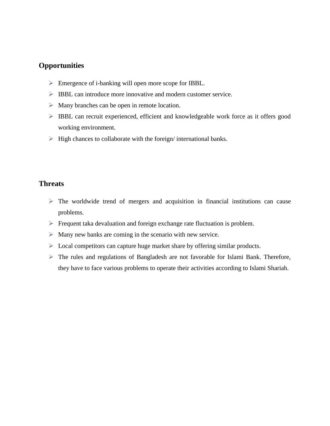## **Opportunities**

- Emergence of i-banking will open more scope for IBBL.
- IBBL can introduce more innovative and modern customer service.
- $\triangleright$  Many branches can be open in remote location.
- IBBL can recruit experienced, efficient and knowledgeable work force as it offers good working environment.
- $\triangleright$  High chances to collaborate with the foreign/ international banks.

## **Threats**

- $\triangleright$  The worldwide trend of mergers and acquisition in financial institutions can cause problems.
- $\triangleright$  Frequent taka devaluation and foreign exchange rate fluctuation is problem.
- $\triangleright$  Many new banks are coming in the scenario with new service.
- $\triangleright$  Local competitors can capture huge market share by offering similar products.
- The rules and regulations of Bangladesh are not favorable for Islami Bank. Therefore, they have to face various problems to operate their activities according to Islami Shariah.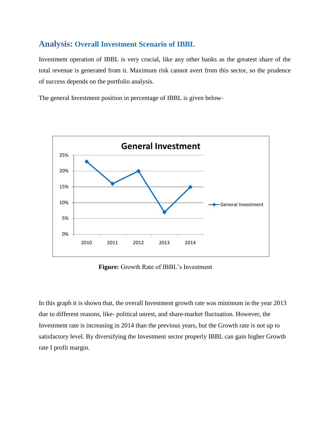## **Analysis: Overall Investment Scenario of IBBL**

Investment operation of IBBL is very crucial, like any other banks as the greatest share of the total revenue is generated from it. Maximum risk cannot avert from this sector, so the prudence of success depends on the portfolio analysis.

The general Investment position in percentage of IBBL is given below-



Figure: Growth Rate of IBBL's Investment

In this graph it is shown that, the overall Investment growth rate was minimum in the year 2013 due to different reasons, like- political unrest, and share-market fluctuation. However, the Investment rate is increasing in 2014 than the previous years, but the Growth rate is not up to satisfactory level. By diversifying the Investment sector properly IBBL can gain higher Growth rate I profit margin.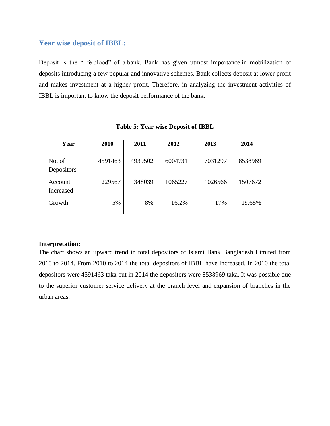## **Year wise deposit of IBBL:**

Deposit is the "life blood" of a bank. Bank has given utmost importance in mobilization of deposits introducing a few popular and innovative schemes. Bank collects deposit at lower profit and makes investment at a higher profit. Therefore, in analyzing the investment activities of IBBL is important to know the deposit performance of the bank.

| Year             | 2010    | 2011    | 2012    | 2013    | 2014    |
|------------------|---------|---------|---------|---------|---------|
|                  |         |         |         |         |         |
| No. of           | 4591463 | 4939502 | 6004731 | 7031297 | 8538969 |
| Depositors       |         |         |         |         |         |
| Account          | 229567  | 348039  | 1065227 | 1026566 | 1507672 |
| <b>Increased</b> |         |         |         |         |         |
| Growth           | 5%      | 8%      | 16.2%   | 17%     | 19.68%  |

#### **Table 5: Year wise Deposit of IBBL**

### **Interpretation:**

The chart shows an upward trend in total depositors of Islami Bank Bangladesh Limited from 2010 to 2014. From 2010 to 2014 the total depositors of IBBL have increased. In 2010 the total depositors were 4591463 taka but in 2014 the depositors were 8538969 taka. It was possible due to the superior customer service delivery at the branch level and expansion of branches in the urban areas.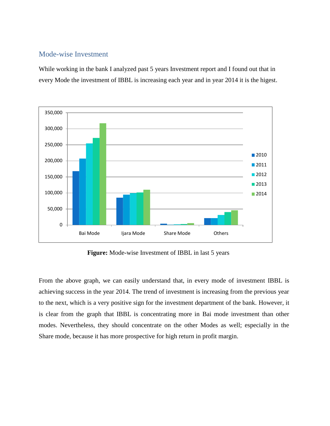### Mode-wise Investment

While working in the bank I analyzed past 5 years Investment report and I found out that in every Mode the investment of IBBL is increasing each year and in year 2014 it is the higest.



**Figure:** Mode-wise Investment of IBBL in last 5 years

From the above graph, we can easily understand that, in every mode of investment IBBL is achieving success in the year 2014. The trend of investment is increasing from the previous year to the next, which is a very positive sign for the investment department of the bank. However, it is clear from the graph that IBBL is concentrating more in Bai mode investment than other modes. Nevertheless, they should concentrate on the other Modes as well; especially in the Share mode, because it has more prospective for high return in profit margin.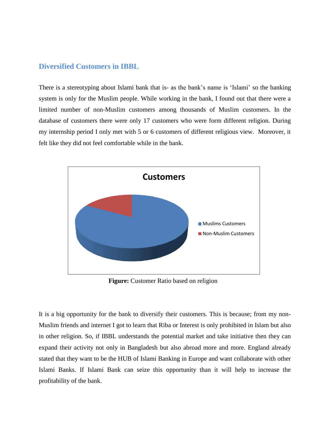### **Diversified Customers in IBBL**

There is a stereotyping about Islami bank that is- as the bank"s name is "Islami" so the banking system is only for the Muslim people. While working in the bank, I found out that there were a limited number of non-Muslim customers among thousands of Muslim customers. In the database of customers there were only 17 customers who were form different religion. During my internship period I only met with 5 or 6 customers of different religious view. Moreover, it felt like they did not feel comfortable while in the bank.



 **Figure:** Customer Ratio based on religion

It is a big opportunity for the bank to diversify their customers. This is because; from my non-Muslim friends and internet I got to learn that Riba or Interest is only prohibited in Islam but also in other religion. So, if IBBL understands the potential market and take initiative then they can expand their activity not only in Bangladesh but also abroad more and more. England already stated that they want to be the HUB of Islami Banking in Europe and want collaborate with other Islami Banks. If Islami Bank can seize this opportunity than it will help to increase the profitability of the bank.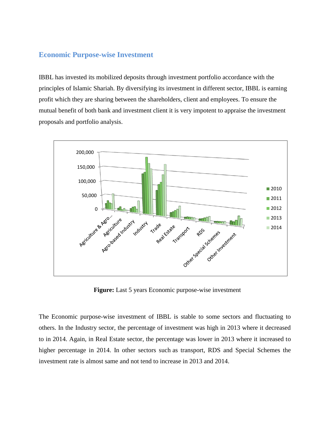### **Economic Purpose-wise Investment**

IBBL has invested its mobilized deposits through investment portfolio accordance with the principles of Islamic Shariah. By diversifying its investment in different sector, IBBL is earning profit which they are sharing between the shareholders, client and employees. To ensure the mutual benefit of both bank and investment client it is very impotent to appraise the investment proposals and portfolio analysis.



**Figure:** Last 5 years Economic purpose-wise investment

The Economic purpose-wise investment of IBBL is stable to some sectors and fluctuating to others. In the Industry sector, the percentage of investment was high in 2013 where it decreased to in 2014. Again, in Real Estate sector, the percentage was lower in 2013 where it increased to higher percentage in 2014. In other sectors such as transport, RDS and Special Schemes the investment rate is almost same and not tend to increase in 2013 and 2014.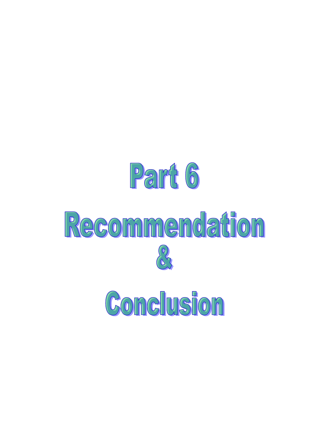

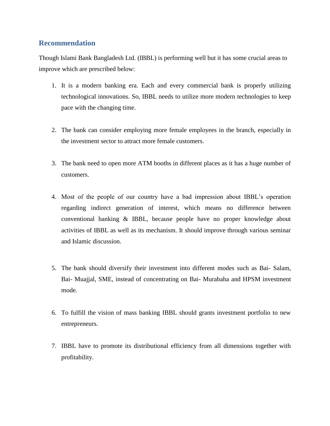## **Recommendation**

Though Islami Bank Bangladesh Ltd. (IBBL) is performing well but it has some crucial areas to improve which are prescribed below:

- 1. It is a modern banking era. Each and every commercial bank is properly utilizing technological innovations. So, IBBL needs to utilize more modern technologies to keep pace with the changing time.
- 2. The bank can consider employing more female employees in the branch, especially in the investment sector to attract more female customers.
- 3. The bank need to open more ATM booths in different places as it has a huge number of customers.
- 4. Most of the people of our country have a bad impression about IBBL"s operation regarding indirect generation of interest, which means no difference between conventional banking & IBBL, because people have no proper knowledge about activities of IBBL as well as its mechanism. It should improve through various seminar and Islamic discussion.
- 5. The bank should diversify their investment into different modes such as Bai- Salam, Bai- Muajjal, SME, instead of concentrating on Bai- Murabaha and HPSM investment mode.
- 6. To fulfill the vision of mass banking IBBL should grants investment portfolio to new entrepreneurs.
- 7. IBBL have to promote its distributional efficiency from all dimensions together with profitability.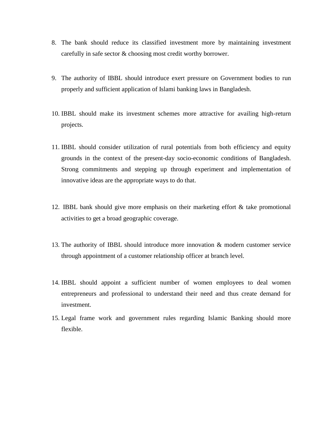- 8. The bank should reduce its classified investment more by maintaining investment carefully in safe sector & choosing most credit worthy borrower.
- 9. The authority of IBBL should introduce exert pressure on Government bodies to run properly and sufficient application of Islami banking laws in Bangladesh.
- 10. IBBL should make its investment schemes more attractive for availing high-return projects.
- 11. IBBL should consider utilization of rural potentials from both efficiency and equity grounds in the context of the present-day socio-economic conditions of Bangladesh. Strong commitments and stepping up through experiment and implementation of innovative ideas are the appropriate ways to do that.
- 12. IBBL bank should give more emphasis on their marketing effort & take promotional activities to get a broad geographic coverage.
- 13. The authority of IBBL should introduce more innovation & modern customer service through appointment of a customer relationship officer at branch level.
- 14. IBBL should appoint a sufficient number of women employees to deal women entrepreneurs and professional to understand their need and thus create demand for investment.
- 15. Legal frame work and government rules regarding Islamic Banking should more flexible.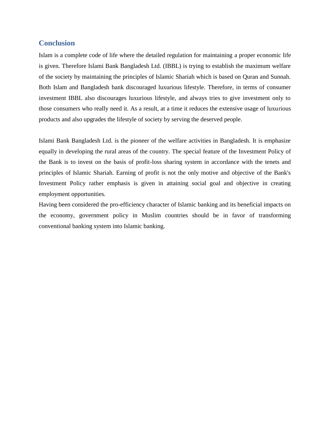#### **Conclusion**

Islam is a complete code of life where the detailed regulation for maintaining a proper economic life is given. Therefore Islami Bank Bangladesh Ltd. (IBBL) is trying to establish the maximum welfare of the society by maintaining the principles of Islamic Shariah which is based on Quran and Sunnah. Both Islam and Bangladesh bank discouraged luxurious lifestyle. Therefore, in terms of consumer investment IBBL also discourages luxurious lifestyle, and always tries to give investment only to those consumers who really need it. As a result, at a time it reduces the extensive usage of luxurious products and also upgrades the lifestyle of society by serving the deserved people.

Islami Bank Bangladesh Ltd. is the pioneer of the welfare activities in Bangladesh. It is emphasize equally in developing the rural areas of the country. The special feature of the Investment Policy of the Bank is to invest on the basis of profit-loss sharing system in accordance with the tenets and principles of Islamic Shariah. Earning of profit is not the only motive and objective of the Bank's Investment Policy rather emphasis is given in attaining social goal and objective in creating employment opportunities.

Having been considered the pro-efficiency character of Islamic banking and its beneficial impacts on the economy, government policy in Muslim countries should be in favor of transforming conventional banking system into Islamic banking.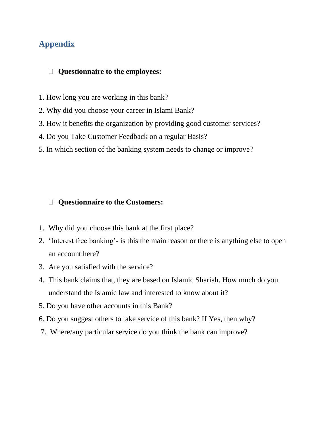# **Appendix**

## **Questionnaire to the employees:**

- 1. How long you are working in this bank?
- 2. Why did you choose your career in Islami Bank?
- 3. How it benefits the organization by providing good customer services?
- 4. Do you Take Customer Feedback on a regular Basis?
- 5. In which section of the banking system needs to change or improve?

## **Questionnaire to the Customers:**

- 1. Why did you choose this bank at the first place?
- 2. "Interest free banking"- is this the main reason or there is anything else to open an account here?
- 3. Are you satisfied with the service?
- 4. This bank claims that, they are based on Islamic Shariah. How much do you understand the Islamic law and interested to know about it?
- 5. Do you have other accounts in this Bank?
- 6. Do you suggest others to take service of this bank? If Yes, then why?
- 7. Where/any particular service do you think the bank can improve?